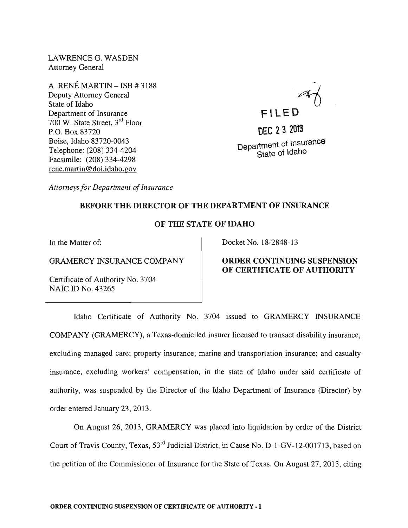LAWRENCE G. WASDEN Attorney General

A. RENE MARTIN - ISB # 3188 Deputy Attorney General State of Idaho Department of Insurance 700 W. State Street, 3rd Floor P.O. Box 83720 Boise, Idaho 83720-0043 Telephone: (208) 334-4204 Facsimile: (208) 334-4298 rene.martin@doi.idaho.gov

 $\overline{a}$ **FI LED** 

**DEC 232013**  Department of Insurance State of Idaho

*Attorneys for Department of Insurance* 

### BEFORE THE DIRECTOR OF THE DEPARTMENT OF INSURANCE

## OF THE STATE OF IDAHO

In the Matter of:

GRAMERCY INSURANCE COMPANY

Certificate of Authority No. 3704 NAIC ID No. 43265

#### Docket No. 18-2848-13

# ORDER CONTINUING SUSPENSION OF CERTIFICATE OF AUTHORITY

Idaho Certificate of Authority No. 3704 issued to GRAMERCY INSURANCE COMPANY (GRAMERCY), a Texas-domiciled insurer licensed to transact disability insurance, excluding managed care; property insurance; marine and transportation insurance; and casualty insurance, excluding workers' compensation, in the state of Idaho under said certificate of authority, was suspended by the Director of the Idaho Department of Insurance (Director) by order entered January 23,2013.

On August 26, 2013, GRAMERCY was placed into liquidation by order of the District Court of Travis County, Texas, 53rd Judicial District, in Cause No. D-1-GV-12-001713, based on the petition of the Commissioner of Insurance for the State of Texas. On August 27, 2013, citing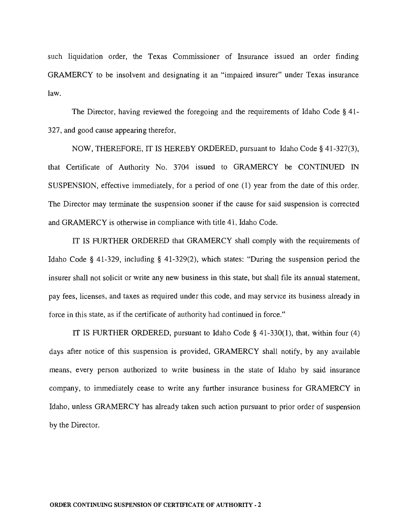such liquidation order, the Texas Commissioner of Insurance issued an order finding GRAMERCY to be insolvent and designating it an "impaired insurer" under Texas insurance law.

The Director, having reviewed the foregoing and the requirements of Idaho Code § 41- 327, and good cause appearing therefor,

NOW, THEREFORE, IT IS HEREBY ORDERED, pursuant to Idaho Code § 41-327(3), that Certificate of Authority No. 3704 issued to GRAMERCY be CONTINUED IN SUSPENSION, effective immediately, for a period of one (1) year from the date of this order. The Director may terminate the suspension sooner if the cause for said suspension is corrected and GRAMERCY is otherwise in compliance with title 41, Idaho Code.

IT IS FURTHER ORDERED that GRAMERCY shall comply with the requirements of Idaho Code § 41-329, including § 41-329(2), which states: "During the suspension period the insurer shall not solicit or write any new business in this state, but shall file its annual statement, pay fees, licenses, and taxes as required under this code, and may service its business already in force in this state, as if the certificate of authority had continued in force."

IT IS FURTHER ORDERED, pursuant to Idaho Code § 41-330(1), that, within four (4) days after notice of this suspension is provided, GRAMERCY shall notify, by any available means, every person authorized to write business in the state of Idaho by said insurance company, to immediately cease to write any further insurance business for GRAMERCY in Idaho, unless GRAMERCY has already taken such action pursuant to prior order of suspension by the Director.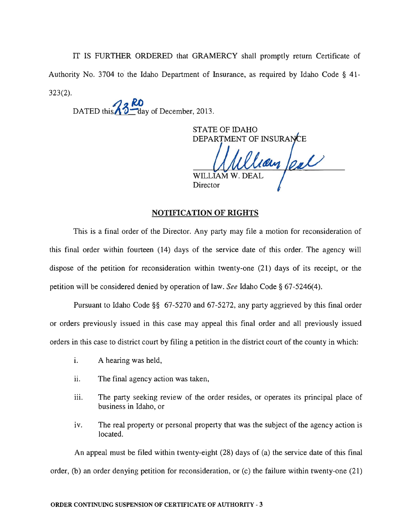IT IS FURTHER ORDERED that GRAMERCY shall promptly return Certificate of Authority No. 3704 to the Idaho Department of Insurance, as required by Idaho Code § 41- 323(2).

DATED this  $\sqrt{3}$  day of December, 2013.

STATE OF IDAHO DEPARTMENT OF INSURA

can feal WILLIAM W. DEAI **Director** 

### **NOTIFICATION OF RIGHTS**

This is a final order of the Director. Any party may file a motion for reconsideration of this final order within fourteen (14) days of the service date of this order. The agency will dispose of the petition for reconsideration within twenty-one (21) days of its receipt, or the petition will be considered denied by operation of law. *See* Idaho Code § 67-5246(4).

Pursuant to Idaho Code §§ 67-5270 and 67-5272, any party aggrieved by this final order or orders previously issued in this case may appeal this final order and all previously issued orders in this case to district court by filing a petition in the district court of the county in which:

- i. A hearing was held,
- ii. The final agency action was taken,
- iii. The party seeking review of the order resides, or operates its principal place of business in Idaho, or
- iv. The real property or personal property that was the subject of the agency action is located.

An appeal must be filed within twenty-eight (28) days of (a) the service date of this final order, (b) an order denying petition for reconsideration, or (c) the failure within twenty-one (21)